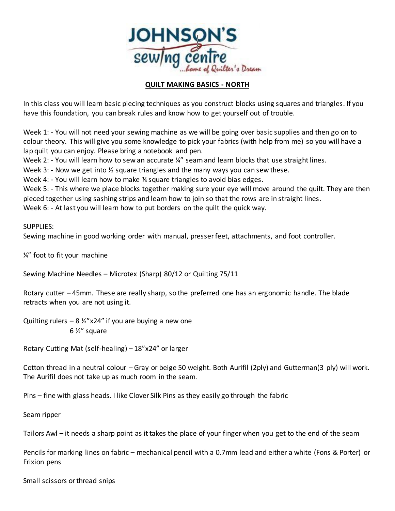

## **QUILT MAKING BASICS - NORTH**

In this class you will learn basic piecing techniques as you construct blocks using squares and triangles. If you have this foundation, you can break rules and know how to get yourself out of trouble.

Week 1: - You will not need your sewing machine as we will be going over basic supplies and then go on to colour theory. This will give you some knowledge to pick your fabrics (with help from me) so you will have a lap quilt you can enjoy. Please bring a notebook and pen.

Week 2: - You will learn how to sew an accurate ¼" seam and learn blocks that use straight lines.

Week 3: - Now we get into  $\frac{1}{2}$  square triangles and the many ways you can sew these.

Week 4: - You will learn how to make % square triangles to avoid bias edges.

Week 5: - This where we place blocks together making sure your eye will move around the quilt. They are then pieced together using sashing strips and learn how to join so that the rows are in straight lines.

Week 6: - At last you will learn how to put borders on the quilt the quick way.

## SUPPLIES:

Sewing machine in good working order with manual, presser feet, attachments, and foot controller.

¼" foot to fit your machine

Sewing Machine Needles – Microtex (Sharp) 80/12 or Quilting 75/11

Rotary cutter – 45mm. These are really sharp, so the preferred one has an ergonomic handle. The blade retracts when you are not using it.

Quilting rulers  $-8\frac{1}{2}$  x24" if you are buying a new one 6 ½" square

Rotary Cutting Mat (self-healing) – 18"x24" or larger

Cotton thread in a neutral colour – Gray or beige 50 weight. Both Aurifil (2ply) and Gutterman(3 ply) will work. The Aurifil does not take up as much room in the seam.

Pins – fine with glass heads. I like Clover Silk Pins as they easily go through the fabric

Seam ripper

Tailors Awl – it needs a sharp point as it takes the place of your finger when you get to the end of the seam

Pencils for marking lines on fabric – mechanical pencil with a 0.7mm lead and either a white (Fons & Porter) or Frixion pens

Small scissors or thread snips